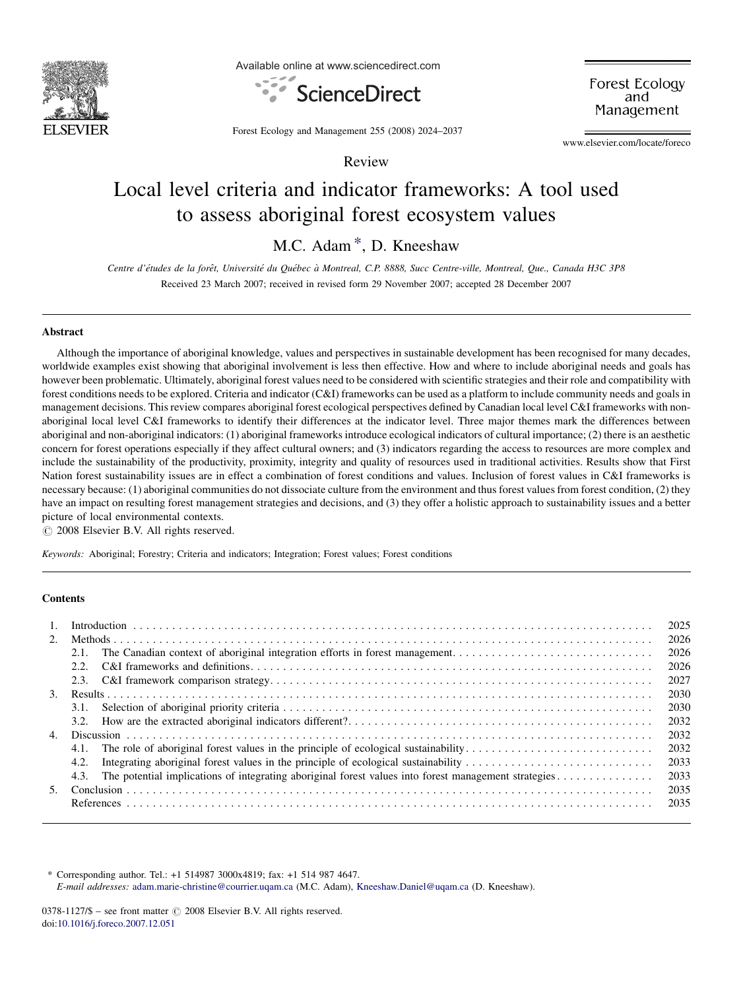

Available online at www.sciencedirect.com



Forest Ecology and Management

Forest Ecology and Management 255 (2008) 2024–2037

Review

www.elsevier.com/locate/foreco

# Local level criteria and indicator frameworks: A tool used to assess aboriginal forest ecosystem values

M.C. Adam \*, D. Kneeshaw

Centre d'études de la forêt, Université du Québec à Montreal, C.P. 8888, Succ Centre-ville, Montreal, Que., Canada H3C 3P8 Received 23 March 2007; received in revised form 29 November 2007; accepted 28 December 2007

#### Abstract

Although the importance of aboriginal knowledge, values and perspectives in sustainable development has been recognised for many decades, worldwide examples exist showing that aboriginal involvement is less then effective. How and where to include aboriginal needs and goals has however been problematic. Ultimately, aboriginal forest values need to be considered with scientific strategies and their role and compatibility with forest conditions needs to be explored. Criteria and indicator (C&I) frameworks can be used as a platform to include community needs and goals in management decisions. This review compares aboriginal forest ecological perspectives defined by Canadian local level C&I frameworks with nonaboriginal local level C&I frameworks to identify their differences at the indicator level. Three major themes mark the differences between aboriginal and non-aboriginal indicators: (1) aboriginal frameworks introduce ecological indicators of cultural importance; (2) there is an aesthetic concern for forest operations especially if they affect cultural owners; and (3) indicators regarding the access to resources are more complex and include the sustainability of the productivity, proximity, integrity and quality of resources used in traditional activities. Results show that First Nation forest sustainability issues are in effect a combination of forest conditions and values. Inclusion of forest values in C&I frameworks is necessary because: (1) aboriginal communities do not dissociate culture from the environment and thus forest values from forest condition, (2) they have an impact on resulting forest management strategies and decisions, and (3) they offer a holistic approach to sustainability issues and a better picture of local environmental contexts.

 $\odot$  2008 Elsevier B.V. All rights reserved.

Keywords: Aboriginal; Forestry; Criteria and indicators; Integration; Forest values; Forest conditions

## **Contents**

| $2^{\circ}$ |                                                                                                           | 2025<br>2026 |
|-------------|-----------------------------------------------------------------------------------------------------------|--------------|
|             | 2.1.                                                                                                      | 2026         |
|             | 22                                                                                                        | 2026         |
|             |                                                                                                           | 2027         |
| 3.          |                                                                                                           | 2030         |
|             | 3.1.                                                                                                      | 2030         |
|             | 3.2.                                                                                                      | 2032         |
| 4.          |                                                                                                           | 2032         |
|             | 4.1.                                                                                                      | 2032         |
|             | 4.2.                                                                                                      | 2033         |
|             | 4.3. The potential implications of integrating aboriginal forest values into forest management strategies | 2033         |
|             |                                                                                                           | 2035         |
|             |                                                                                                           | 2035         |

\* Corresponding author. Tel.: +1 514987 3000x4819; fax: +1 514 987 4647. E-mail addresses: [adam.marie-christine@courrier.uqam.ca](mailto:adam.marie-christine@courrier.uqam.ca) (M.C. Adam), [Kneeshaw.Daniel@uqam.ca](mailto:Kneeshaw.Daniel@uqam.ca) (D. Kneeshaw).

 $0378-1127/\$$  – see front matter  $\odot$  2008 Elsevier B.V. All rights reserved. doi[:10.1016/j.foreco.2007.12.051](http://dx.doi.org/10.1016/j.foreco.2007.12.051)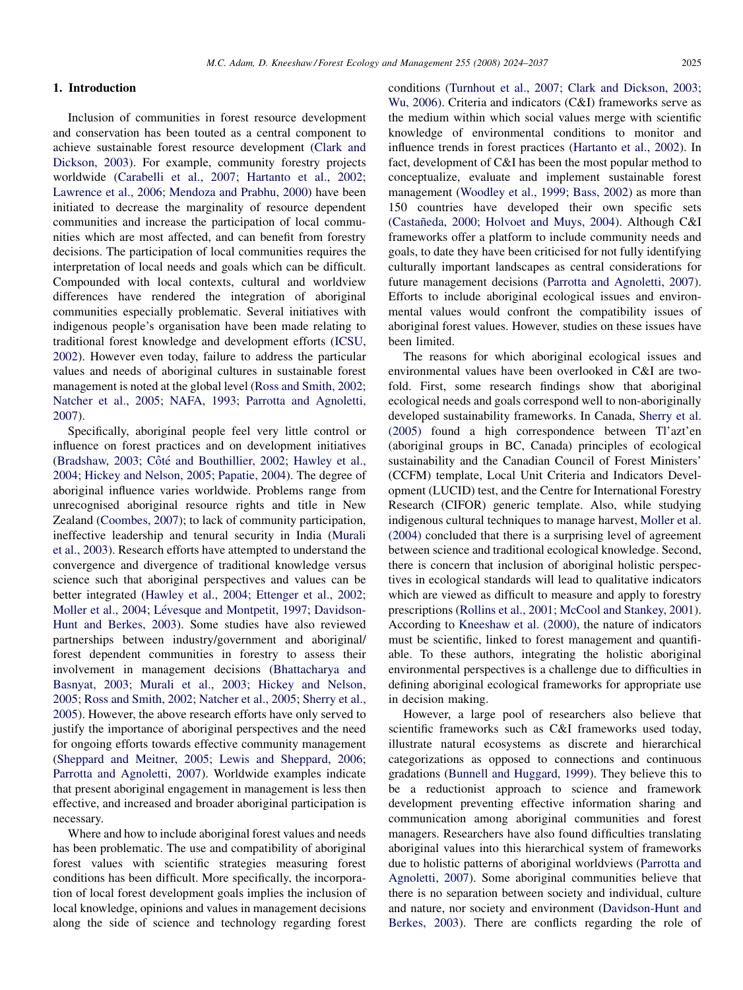# Inclusion of communities in forest resource development and conservation has been touted as a central component to achieve sustainable forest resource development [\(Clark and](#page-12-0) [Dickson, 2003](#page-12-0)). For example, community forestry projects worldwide ([Carabelli et al., 2007; Hartanto et al., 2002;](#page-12-0) [Lawrence et al., 2006; Mendoza and Prabhu, 2000\)](#page-12-0) have been initiated to decrease the marginality of resource dependent communities and increase the participation of local communities which are most affected, and can benefit from forestry decisions. The participation of local communities requires the interpretation of local needs and goals which can be difficult. Compounded with local contexts, cultural and worldview differences have rendered the integration of aboriginal communities especially problematic. Several initiatives with indigenous people's organisation have been made relating to traditional forest knowledge and development efforts [\(ICSU,](#page-12-0) [2002](#page-12-0)). However even today, failure to address the particular values and needs of aboriginal cultures in sustainable forest management is noted at the global level [\(Ross and Smith, 2002;](#page-13-0) [Natcher et al., 2005; NAFA, 1993; Parrotta and Agnoletti,](#page-13-0) [2007](#page-13-0)).

Specifically, aboriginal people feel very little control or influence on forest practices and on development initiatives (Bradshaw, 2003; Côté [and Bouthillier, 2002; Hawley et al.,](#page-12-0) [2004; Hickey and Nelson, 2005; Papatie, 2004](#page-12-0)). The degree of aboriginal influence varies worldwide. Problems range from unrecognised aboriginal resource rights and title in New Zealand ([Coombes, 2007](#page-12-0)); to lack of community participation, ineffective leadership and tenural security in India [\(Murali](#page-12-0) [et al., 2003\)](#page-12-0). Research efforts have attempted to understand the convergence and divergence of traditional knowledge versus science such that aboriginal perspectives and values can be better integrated ([Hawley et al., 2004; Ettenger et al., 2002;](#page-12-0) Moller et al., 2004; Lévesque and Montpetit, 1997; Davidson-[Hunt and Berkes, 2003\)](#page-12-0). Some studies have also reviewed partnerships between industry/government and aboriginal/ forest dependent communities in forestry to assess their involvement in management decisions [\(Bhattacharya and](#page-12-0) [Basnyat, 2003; Murali et al., 2003; Hickey and Nelson,](#page-12-0) [2005; Ross and Smith, 2002; Natcher et al., 2005; Sherry et al.,](#page-12-0) [2005](#page-12-0)). However, the above research efforts have only served to justify the importance of aboriginal perspectives and the need for ongoing efforts towards effective community management ([Sheppard and Meitner, 2005; Lewis and Sheppard, 2006;](#page-13-0) [Parrotta and Agnoletti, 2007](#page-13-0)). Worldwide examples indicate that present aboriginal engagement in management is less then effective, and increased and broader aboriginal participation is necessary.

Where and how to include aboriginal forest values and needs has been problematic. The use and compatibility of aboriginal forest values with scientific strategies measuring forest conditions has been difficult. More specifically, the incorporation of local forest development goals implies the inclusion of local knowledge, opinions and values in management decisions along the side of science and technology regarding forest conditions ([Turnhout et al., 2007; Clark and Dickson, 2003;](#page-13-0) [Wu, 2006\)](#page-13-0). Criteria and indicators (C&I) frameworks serve as the medium within which social values merge with scientific knowledge of environmental conditions to monitor and influence trends in forest practices ([Hartanto et al., 2002\)](#page-12-0). In fact, development of C&I has been the most popular method to conceptualize, evaluate and implement sustainable forest management [\(Woodley et al., 1999; Bass, 2002\)](#page-13-0) as more than 150 countries have developed their own specific sets (Castañeda, 2000; Holvoet and Muys, 2004). Although C&I frameworks offer a platform to include community needs and goals, to date they have been criticised for not fully identifying culturally important landscapes as central considerations for future management decisions ([Parrotta and Agnoletti, 2007\)](#page-13-0). Efforts to include aboriginal ecological issues and environmental values would confront the compatibility issues of aboriginal forest values. However, studies on these issues have been limited.

The reasons for which aboriginal ecological issues and environmental values have been overlooked in C&I are twofold. First, some research findings show that aboriginal ecological needs and goals correspond well to non-aboriginally developed sustainability frameworks. In Canada, [Sherry et al.](#page-13-0) [\(2005\)](#page-13-0) found a high correspondence between Tl'azt'en (aboriginal groups in BC, Canada) principles of ecological sustainability and the Canadian Council of Forest Ministers' (CCFM) template, Local Unit Criteria and Indicators Development (LUCID) test, and the Centre for International Forestry Research (CIFOR) generic template. Also, while studying indigenous cultural techniques to manage harvest, [Moller et al.](#page-12-0) [\(2004\)](#page-12-0) concluded that there is a surprising level of agreement between science and traditional ecological knowledge. Second, there is concern that inclusion of aboriginal holistic perspectives in ecological standards will lead to qualitative indicators which are viewed as difficult to measure and apply to forestry prescriptions ([Rollins et al., 2001; McCool and Stankey, 2001\)](#page-13-0). According to [Kneeshaw et al. \(2000\)](#page-12-0), the nature of indicators must be scientific, linked to forest management and quantifiable. To these authors, integrating the holistic aboriginal environmental perspectives is a challenge due to difficulties in defining aboriginal ecological frameworks for appropriate use in decision making.

However, a large pool of researchers also believe that scientific frameworks such as C&I frameworks used today, illustrate natural ecosystems as discrete and hierarchical categorizations as opposed to connections and continuous gradations ([Bunnell and Huggard, 1999\)](#page-12-0). They believe this to be a reductionist approach to science and framework development preventing effective information sharing and communication among aboriginal communities and forest managers. Researchers have also found difficulties translating aboriginal values into this hierarchical system of frameworks due to holistic patterns of aboriginal worldviews ([Parrotta and](#page-13-0) [Agnoletti, 2007](#page-13-0)). Some aboriginal communities believe that there is no separation between society and individual, culture and nature, nor society and environment [\(Davidson-Hunt and](#page-12-0) [Berkes, 2003](#page-12-0)). There are conflicts regarding the role of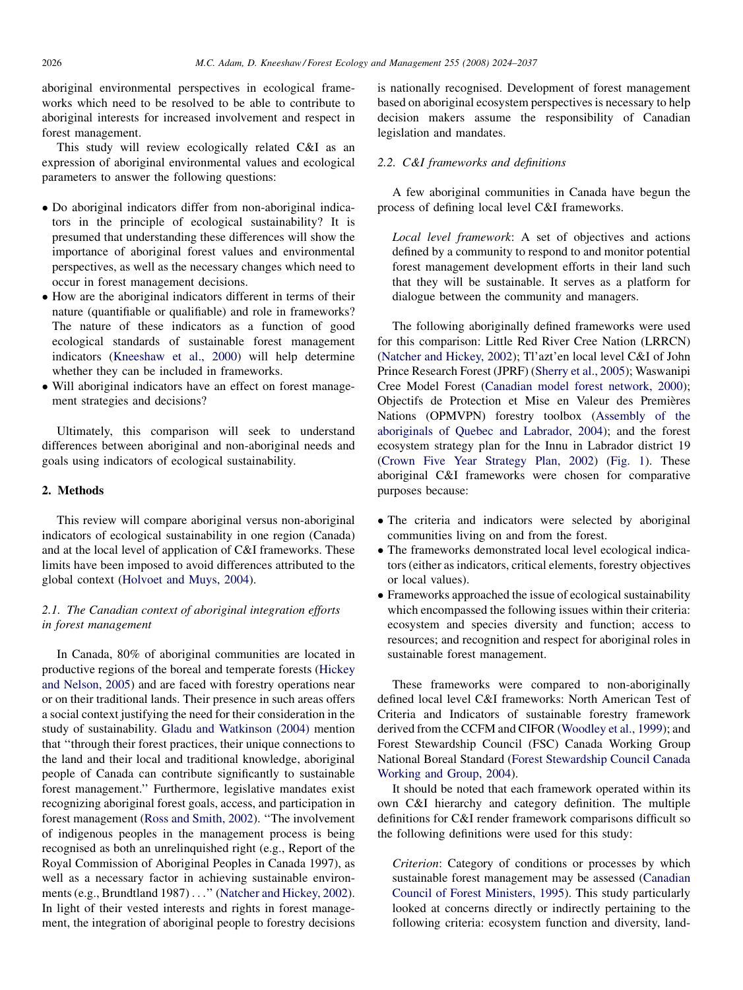aboriginal environmental perspectives in ecological frameworks which need to be resolved to be able to contribute to aboriginal interests for increased involvement and respect in forest management.

This study will review ecologically related C&I as an expression of aboriginal environmental values and ecological parameters to answer the following questions:

- Do aboriginal indicators differ from non-aboriginal indicators in the principle of ecological sustainability? It is presumed that understanding these differences will show the importance of aboriginal forest values and environmental perspectives, as well as the necessary changes which need to occur in forest management decisions.
- How are the aboriginal indicators different in terms of their nature (quantifiable or qualifiable) and role in frameworks? The nature of these indicators as a function of good ecological standards of sustainable forest management indicators ([Kneeshaw et al., 2000](#page-12-0)) will help determine whether they can be included in frameworks.
- Will aboriginal indicators have an effect on forest management strategies and decisions?

Ultimately, this comparison will seek to understand differences between aboriginal and non-aboriginal needs and goals using indicators of ecological sustainability.

# 2. Methods

This review will compare aboriginal versus non-aboriginal indicators of ecological sustainability in one region (Canada) and at the local level of application of C&I frameworks. These limits have been imposed to avoid differences attributed to the global context [\(Holvoet and Muys, 2004\)](#page-12-0).

# 2.1. The Canadian context of aboriginal integration efforts in forest management

In Canada, 80% of aboriginal communities are located in productive regions of the boreal and temperate forests ([Hickey](#page-12-0) [and Nelson, 2005\)](#page-12-0) and are faced with forestry operations near or on their traditional lands. Their presence in such areas offers a social context justifying the need for their consideration in the study of sustainability. [Gladu and Watkinson \(2004\)](#page-12-0) mention that ''through their forest practices, their unique connections to the land and their local and traditional knowledge, aboriginal people of Canada can contribute significantly to sustainable forest management.'' Furthermore, legislative mandates exist recognizing aboriginal forest goals, access, and participation in forest management ([Ross and Smith, 2002](#page-13-0)). ''The involvement of indigenous peoples in the management process is being recognised as both an unrelinquished right (e.g., Report of the Royal Commission of Aboriginal Peoples in Canada 1997), as well as a necessary factor in achieving sustainable environments (e.g., Brundtland 1987) ...'' [\(Natcher and Hickey, 2002\)](#page-12-0). In light of their vested interests and rights in forest management, the integration of aboriginal people to forestry decisions is nationally recognised. Development of forest management based on aboriginal ecosystem perspectives is necessary to help decision makers assume the responsibility of Canadian legislation and mandates.

#### 2.2. C&I frameworks and definitions

A few aboriginal communities in Canada have begun the process of defining local level C&I frameworks.

Local level framework: A set of objectives and actions defined by a community to respond to and monitor potential forest management development efforts in their land such that they will be sustainable. It serves as a platform for dialogue between the community and managers.

The following aboriginally defined frameworks were used for this comparison: Little Red River Cree Nation (LRRCN) ([Natcher and Hickey, 2002\)](#page-12-0); Tl'azt'en local level C&I of John Prince Research Forest (JPRF) [\(Sherry et al., 2005](#page-13-0)); Waswanipi Cree Model Forest [\(Canadian model forest network, 2000\)](#page-12-0); Objectifs de Protection et Mise en Valeur des Premières Nations (OPMVPN) forestry toolbox ([Assembly of the](#page-11-0) [aboriginals of Quebec and Labrador, 2004\)](#page-11-0); and the forest ecosystem strategy plan for the Innu in Labrador district 19 ([Crown Five Year Strategy Plan, 2002](#page-12-0)) ([Fig. 1](#page-3-0)). These aboriginal C&I frameworks were chosen for comparative purposes because:

- The criteria and indicators were selected by aboriginal communities living on and from the forest.
- The frameworks demonstrated local level ecological indicators (either as indicators, critical elements, forestry objectives or local values).
- Frameworks approached the issue of ecological sustainability which encompassed the following issues within their criteria: ecosystem and species diversity and function; access to resources; and recognition and respect for aboriginal roles in sustainable forest management.

These frameworks were compared to non-aboriginally defined local level C&I frameworks: North American Test of Criteria and Indicators of sustainable forestry framework derived from the CCFM and CIFOR [\(Woodley et al., 1999](#page-13-0)); and Forest Stewardship Council (FSC) Canada Working Group National Boreal Standard [\(Forest Stewardship Council Canada](#page-12-0) [Working and Group, 2004\)](#page-12-0).

It should be noted that each framework operated within its own C&I hierarchy and category definition. The multiple definitions for C&I render framework comparisons difficult so the following definitions were used for this study:

Criterion: Category of conditions or processes by which sustainable forest management may be assessed ([Canadian](#page-12-0) [Council of Forest Ministers, 1995\)](#page-12-0). This study particularly looked at concerns directly or indirectly pertaining to the following criteria: ecosystem function and diversity, land-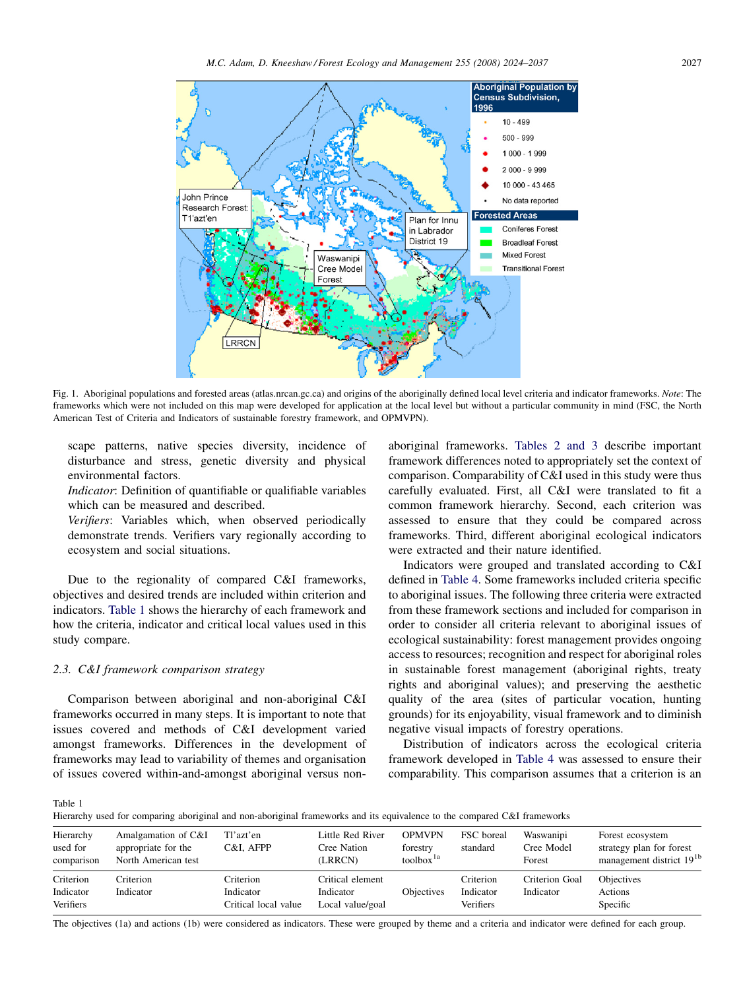<span id="page-3-0"></span>

Fig. 1. Aboriginal populations and forested areas (atlas.nrcan.gc.ca) and origins of the aboriginally defined local level criteria and indicator frameworks. Note: The frameworks which were not included on this map were developed for application at the local level but without a particular community in mind (FSC, the North American Test of Criteria and Indicators of sustainable forestry framework, and OPMVPN).

scape patterns, native species diversity, incidence of disturbance and stress, genetic diversity and physical environmental factors.

Indicator: Definition of quantifiable or qualifiable variables which can be measured and described.

Verifiers: Variables which, when observed periodically demonstrate trends. Verifiers vary regionally according to ecosystem and social situations.

Due to the regionality of compared C&I frameworks, objectives and desired trends are included within criterion and indicators. Table 1 shows the hierarchy of each framework and how the criteria, indicator and critical local values used in this study compare.

#### 2.3. C&I framework comparison strategy

Comparison between aboriginal and non-aboriginal C&I frameworks occurred in many steps. It is important to note that issues covered and methods of C&I development varied amongst frameworks. Differences in the development of frameworks may lead to variability of themes and organisation of issues covered within-and-amongst aboriginal versus nonaboriginal frameworks. [Tables 2 and 3](#page-4-0) describe important framework differences noted to appropriately set the context of comparison. Comparability of C&I used in this study were thus carefully evaluated. First, all C&I were translated to fit a common framework hierarchy. Second, each criterion was assessed to ensure that they could be compared across frameworks. Third, different aboriginal ecological indicators were extracted and their nature identified.

Indicators were grouped and translated according to C&I defined in [Table 4](#page-5-0). Some frameworks included criteria specific to aboriginal issues. The following three criteria were extracted from these framework sections and included for comparison in order to consider all criteria relevant to aboriginal issues of ecological sustainability: forest management provides ongoing access to resources; recognition and respect for aboriginal roles in sustainable forest management (aboriginal rights, treaty rights and aboriginal values); and preserving the aesthetic quality of the area (sites of particular vocation, hunting grounds) for its enjoyability, visual framework and to diminish negative visual impacts of forestry operations.

Distribution of indicators across the ecological criteria framework developed in [Table 4](#page-5-0) was assessed to ensure their comparability. This comparison assumes that a criterion is an

Table 1

Hierarchy used for comparing aboriginal and non-aboriginal frameworks and its equivalence to the compared C&I frameworks

| Hierarchy<br>used for<br>comparison | Amalgamation of C&I<br>appropriate for the<br>North American test | Tl'azt'en<br>C&I, AFPP                         | Little Red River<br>Cree Nation<br>(LRRCN)        | <b>OPMVPN</b><br>forestry<br>$to$ olbox $1a$ | FSC boreal<br>standard              | Waswanipi<br>Cree Model<br>Forest | Forest ecosystem<br>strategy plan for forest<br>management district 19 <sup>1b</sup> |
|-------------------------------------|-------------------------------------------------------------------|------------------------------------------------|---------------------------------------------------|----------------------------------------------|-------------------------------------|-----------------------------------|--------------------------------------------------------------------------------------|
| Criterion<br>Indicator<br>Verifiers | Criterion<br>Indicator                                            | Criterion<br>Indicator<br>Critical local value | Critical element<br>Indicator<br>Local value/goal | <b>Objectives</b>                            | Criterion<br>Indicator<br>Verifiers | Criterion Goal<br>Indicator       | <b>Objectives</b><br>Actions<br>Specific                                             |

The objectives (1a) and actions (1b) were considered as indicators. These were grouped by theme and a criteria and indicator were defined for each group.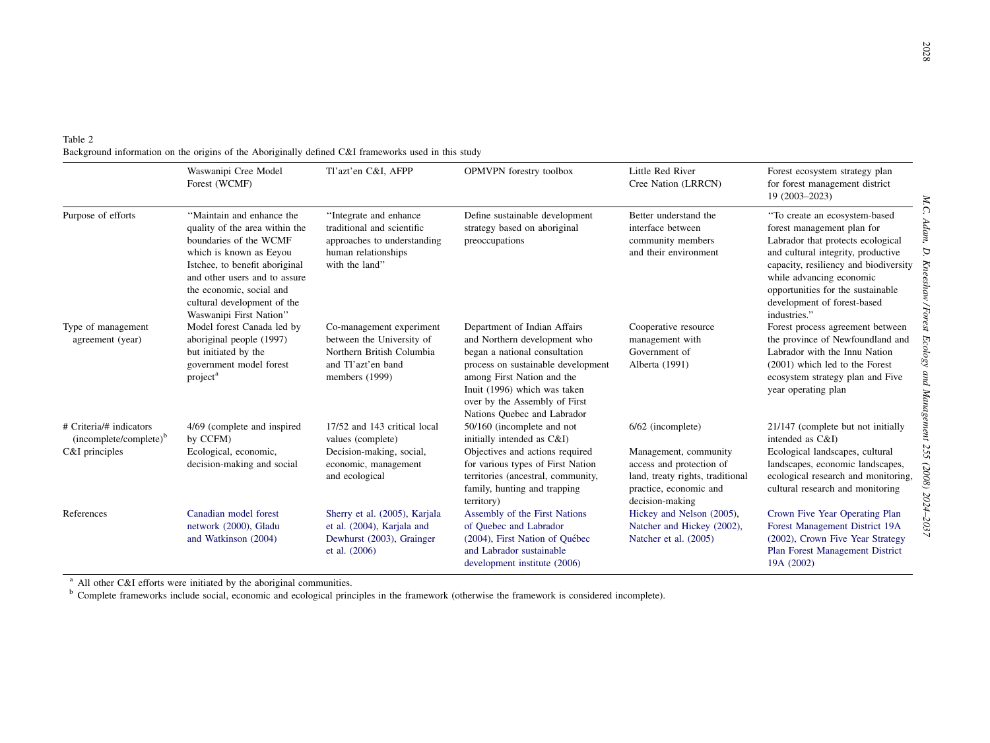### <span id="page-4-0"></span>Table 2 Background information on the origins of the Aboriginally defined C&I frameworks used in this study

|                                                                        | Waswanipi Cree Model<br>Forest (WCMF)                                                                                                                                                                                                                                     | Tl'azt'en C&I, AFPP                                                                                                           | OPMVPN forestry toolbox                                                                                                                                                                                                                                           | Little Red River<br>Cree Nation (LRRCN)                                                                   | Forest ecosystem strategy plan<br>for forest management district<br>19 (2003-2023)                                                                                                                                                                                                              |
|------------------------------------------------------------------------|---------------------------------------------------------------------------------------------------------------------------------------------------------------------------------------------------------------------------------------------------------------------------|-------------------------------------------------------------------------------------------------------------------------------|-------------------------------------------------------------------------------------------------------------------------------------------------------------------------------------------------------------------------------------------------------------------|-----------------------------------------------------------------------------------------------------------|-------------------------------------------------------------------------------------------------------------------------------------------------------------------------------------------------------------------------------------------------------------------------------------------------|
| Purpose of efforts                                                     | "Maintain and enhance the<br>quality of the area within the<br>boundaries of the WCMF<br>which is known as Eeyou<br>Istchee, to benefit aboriginal<br>and other users and to assure<br>the economic, social and<br>cultural development of the<br>Waswanipi First Nation" | "Integrate and enhance"<br>traditional and scientific<br>approaches to understanding<br>human relationships<br>with the land" | Define sustainable development<br>strategy based on aboriginal<br>preoccupations                                                                                                                                                                                  | Better understand the<br>interface between<br>community members<br>and their environment                  | "To create an ecosystem-based<br>forest management plan for<br>Labrador that protects ecological<br>and cultural integrity, productive<br>capacity, resiliency and biodiversity<br>while advancing economic<br>opportunities for the sustainable<br>development of forest-based<br>industries." |
| Type of management<br>agreement (year)                                 | Model forest Canada led by<br>aboriginal people (1997)<br>but initiated by the<br>government model forest<br>project <sup>a</sup>                                                                                                                                         | Co-management experiment<br>between the University of<br>Northern British Columbia<br>and Tl'azt'en band<br>members (1999)    | Department of Indian Affairs<br>and Northern development who<br>began a national consultation<br>process on sustainable development<br>among First Nation and the<br>Inuit (1996) which was taken<br>over by the Assembly of First<br>Nations Ouebec and Labrador | Cooperative resource<br>management with<br>Government of<br>Alberta (1991)                                | Forest process agreement between<br>the province of Newfoundland and<br>Labrador with the Innu Nation<br>(2001) which led to the Forest<br>ecosystem strategy plan and Five<br>year operating plan                                                                                              |
| # Criteria/# indicators<br>$(incomplete/complete)^b$<br>C&I principles | 4/69 (complete and inspired<br>by CCFM)<br>Ecological, economic,                                                                                                                                                                                                          | 17/52 and 143 critical local<br>values (complete)<br>Decision-making, social,                                                 | 50/160 (incomplete and not<br>initially intended as C&I)<br>Objectives and actions required                                                                                                                                                                       | 6/62 (incomplete)<br>Management, community                                                                | 21/147 (complete but not initially<br>intended as C&I)<br>Ecological landscapes, cultural                                                                                                                                                                                                       |
|                                                                        | decision-making and social                                                                                                                                                                                                                                                | economic, management<br>and ecological                                                                                        | for various types of First Nation<br>territories (ancestral, community,<br>family, hunting and trapping<br>territory)                                                                                                                                             | access and protection of<br>land, treaty rights, traditional<br>practice, economic and<br>decision-making | landscapes, economic landscapes,<br>ecological research and monitoring,<br>cultural research and monitoring                                                                                                                                                                                     |
| References                                                             | Canadian model forest<br>network (2000), Gladu<br>and Watkinson (2004)                                                                                                                                                                                                    | Sherry et al. (2005), Karjala<br>et al. (2004), Karjala and<br>Dewhurst (2003), Grainger<br>et al. (2006)                     | Assembly of the First Nations<br>of Quebec and Labrador<br>(2004), First Nation of Québec<br>and Labrador sustainable<br>development institute (2006)                                                                                                             | Hickey and Nelson (2005),<br>Natcher and Hickey (2002),<br>Natcher et al. (2005)                          | Crown Five Year Operating Plan<br>Forest Management District 19A<br>(2002), Crown Five Year Strategy<br>Plan Forest Management District<br>19A (2002)                                                                                                                                           |

<sup>a</sup> All other C&I efforts were initiated by the aboriginal communities.<br><sup>b</sup> Complete frameworks include social, economic and ecological principles in the framework (otherwise the framework is considered incomplete).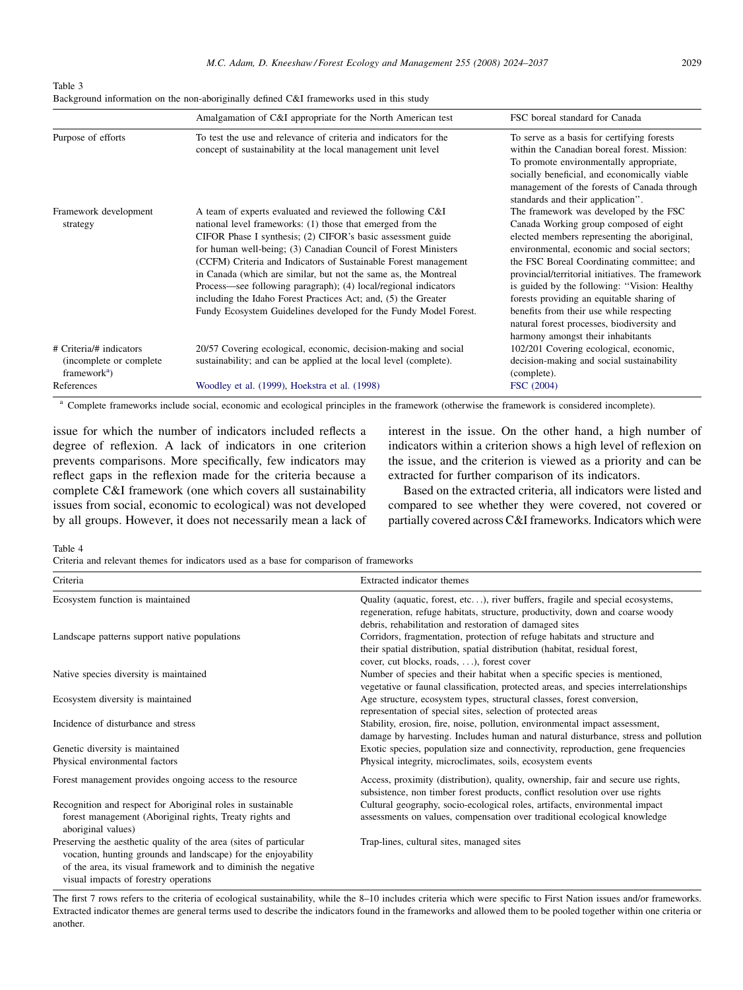<span id="page-5-0"></span>Table 3 Background information on the non-aboriginally defined C&I frameworks used in this study

| To test the use and relevance of criteria and indicators for the<br>concept of sustainability at the local management unit level                                                                                                                                                                                                                                                                                                                                                                                                                                                                         | To serve as a basis for certifying forests<br>within the Canadian boreal forest. Mission:                                                                                                                                                                                                                                                                                                                                                                                                                      |
|----------------------------------------------------------------------------------------------------------------------------------------------------------------------------------------------------------------------------------------------------------------------------------------------------------------------------------------------------------------------------------------------------------------------------------------------------------------------------------------------------------------------------------------------------------------------------------------------------------|----------------------------------------------------------------------------------------------------------------------------------------------------------------------------------------------------------------------------------------------------------------------------------------------------------------------------------------------------------------------------------------------------------------------------------------------------------------------------------------------------------------|
|                                                                                                                                                                                                                                                                                                                                                                                                                                                                                                                                                                                                          | To promote environmentally appropriate,<br>socially beneficial, and economically viable<br>management of the forests of Canada through<br>standards and their application".                                                                                                                                                                                                                                                                                                                                    |
| A team of experts evaluated and reviewed the following C&I<br>national level frameworks: (1) those that emerged from the<br>CIFOR Phase I synthesis; (2) CIFOR's basic assessment guide<br>for human well-being; (3) Canadian Council of Forest Ministers<br>(CCFM) Criteria and Indicators of Sustainable Forest management<br>in Canada (which are similar, but not the same as, the Montreal<br>Process—see following paragraph); (4) local/regional indicators<br>including the Idaho Forest Practices Act; and, (5) the Greater<br>Fundy Ecosystem Guidelines developed for the Fundy Model Forest. | The framework was developed by the FSC<br>Canada Working group composed of eight<br>elected members representing the aboriginal,<br>environmental, economic and social sectors;<br>the FSC Boreal Coordinating committee; and<br>provincial/territorial initiatives. The framework<br>is guided by the following: "Vision: Healthy<br>forests providing an equitable sharing of<br>benefits from their use while respecting<br>natural forest processes, biodiversity and<br>harmony amongst their inhabitants |
| 20/57 Covering ecological, economic, decision-making and social<br>sustainability; and can be applied at the local level (complete).                                                                                                                                                                                                                                                                                                                                                                                                                                                                     | 102/201 Covering ecological, economic,<br>decision-making and social sustainability<br>(complete).<br>FSC (2004)                                                                                                                                                                                                                                                                                                                                                                                               |
|                                                                                                                                                                                                                                                                                                                                                                                                                                                                                                                                                                                                          | Woodley et al. (1999), Hoekstra et al. (1998)                                                                                                                                                                                                                                                                                                                                                                                                                                                                  |

<sup>a</sup> Complete frameworks include social, economic and ecological principles in the framework (otherwise the framework is considered incomplete).

issue for which the number of indicators included reflects a degree of reflexion. A lack of indicators in one criterion prevents comparisons. More specifically, few indicators may reflect gaps in the reflexion made for the criteria because a complete C&I framework (one which covers all sustainability issues from social, economic to ecological) was not developed by all groups. However, it does not necessarily mean a lack of interest in the issue. On the other hand, a high number of indicators within a criterion shows a high level of reflexion on the issue, and the criterion is viewed as a priority and can be extracted for further comparison of its indicators.

Based on the extracted criteria, all indicators were listed and compared to see whether they were covered, not covered or partially covered across C&I frameworks. Indicators which were

Table 4

Criteria and relevant themes for indicators used as a base for comparison of frameworks

| Criteria                                                                                                                                                                                                                                      | Extracted indicator themes                                                                                                                                                                                                 |
|-----------------------------------------------------------------------------------------------------------------------------------------------------------------------------------------------------------------------------------------------|----------------------------------------------------------------------------------------------------------------------------------------------------------------------------------------------------------------------------|
| Ecosystem function is maintained                                                                                                                                                                                                              | Quality (aquatic, forest, etc), river buffers, fragile and special ecosystems,<br>regeneration, refuge habitats, structure, productivity, down and coarse woody<br>debris, rehabilitation and restoration of damaged sites |
| Landscape patterns support native populations                                                                                                                                                                                                 | Corridors, fragmentation, protection of refuge habitats and structure and<br>their spatial distribution, spatial distribution (habitat, residual forest,<br>cover, cut blocks, roads, ), forest cover                      |
| Native species diversity is maintained                                                                                                                                                                                                        | Number of species and their habitat when a specific species is mentioned,<br>vegetative or faunal classification, protected areas, and species interrelationships                                                          |
| Ecosystem diversity is maintained                                                                                                                                                                                                             | Age structure, ecosystem types, structural classes, forest conversion,<br>representation of special sites, selection of protected areas                                                                                    |
| Incidence of disturbance and stress                                                                                                                                                                                                           | Stability, erosion, fire, noise, pollution, environmental impact assessment,<br>damage by harvesting. Includes human and natural disturbance, stress and pollution                                                         |
| Genetic diversity is maintained                                                                                                                                                                                                               | Exotic species, population size and connectivity, reproduction, gene frequencies                                                                                                                                           |
| Physical environmental factors                                                                                                                                                                                                                | Physical integrity, microclimates, soils, ecosystem events                                                                                                                                                                 |
| Forest management provides ongoing access to the resource                                                                                                                                                                                     | Access, proximity (distribution), quality, ownership, fair and secure use rights,<br>subsistence, non timber forest products, conflict resolution over use rights                                                          |
| Recognition and respect for Aboriginal roles in sustainable<br>forest management (Aboriginal rights, Treaty rights and<br>aboriginal values)                                                                                                  | Cultural geography, socio-ecological roles, artifacts, environmental impact<br>assessments on values, compensation over traditional ecological knowledge                                                                   |
| Preserving the aesthetic quality of the area (sites of particular<br>vocation, hunting grounds and landscape) for the enjoyability<br>of the area, its visual framework and to diminish the negative<br>visual impacts of forestry operations | Trap-lines, cultural sites, managed sites                                                                                                                                                                                  |

The first 7 rows refers to the criteria of ecological sustainability, while the 8–10 includes criteria which were specific to First Nation issues and/or frameworks. Extracted indicator themes are general terms used to describe the indicators found in the frameworks and allowed them to be pooled together within one criteria or another.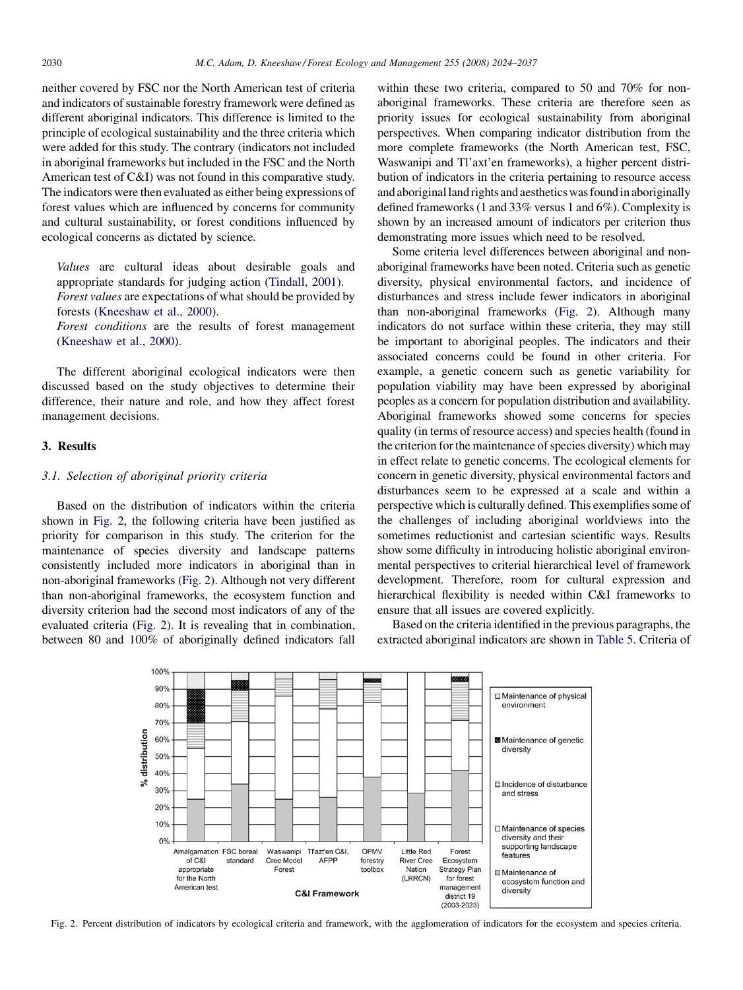neither covered by FSC nor the North American test of criteria and indicators of sustainable forestry framework were defined as different aboriginal indicators. This difference is limited to the principle of ecological sustainability and the three criteria which were added for this study. The contrary (indicators not included in aboriginal frameworks but included in the FSC and the North American test of C&I) was not found in this comparative study. The indicators were then evaluated as either being expressions of forest values which are influenced by concerns for community and cultural sustainability, or forest conditions influenced by ecological concerns as dictated by science.

Values are cultural ideas about desirable goals and appropriate standards for judging action ([Tindall, 2001](#page-13-0)). Forest values are expectations of what should be provided by forests ([Kneeshaw et al., 2000\)](#page-12-0).

Forest conditions are the results of forest management ([Kneeshaw et al., 2000\)](#page-12-0).

The different aboriginal ecological indicators were then discussed based on the study objectives to determine their difference, their nature and role, and how they affect forest management decisions.

## 3. Results

## 3.1. Selection of aboriginal priority criteria

Based on the distribution of indicators within the criteria shown in Fig. 2, the following criteria have been justified as priority for comparison in this study. The criterion for the maintenance of species diversity and landscape patterns consistently included more indicators in aboriginal than in non-aboriginal frameworks (Fig. 2). Although not very different than non-aboriginal frameworks, the ecosystem function and diversity criterion had the second most indicators of any of the evaluated criteria (Fig. 2). It is revealing that in combination, between 80 and 100% of aboriginally defined indicators fall within these two criteria, compared to 50 and 70% for nonaboriginal frameworks. These criteria are therefore seen as priority issues for ecological sustainability from aboriginal perspectives. When comparing indicator distribution from the more complete frameworks (the North American test, FSC, Waswanipi and Tl'axt'en frameworks), a higher percent distribution of indicators in the criteria pertaining to resource access and aboriginalland rights and aesthetics was foundin aboriginally defined frameworks (1 and 33% versus 1 and 6%). Complexity is shown by an increased amount of indicators per criterion thus demonstrating more issues which need to be resolved.

Some criteria level differences between aboriginal and nonaboriginal frameworks have been noted. Criteria such as genetic diversity, physical environmental factors, and incidence of disturbances and stress include fewer indicators in aboriginal than non-aboriginal frameworks (Fig. 2). Although many indicators do not surface within these criteria, they may still be important to aboriginal peoples. The indicators and their associated concerns could be found in other criteria. For example, a genetic concern such as genetic variability for population viability may have been expressed by aboriginal peoples as a concern for population distribution and availability. Aboriginal frameworks showed some concerns for species quality (in terms of resource access) and species health (found in the criterion for the maintenance of species diversity) which may in effect relate to genetic concerns. The ecological elements for concern in genetic diversity, physical environmental factors and disturbances seem to be expressed at a scale and within a perspective which is culturally defined. This exemplifies some of the challenges of including aboriginal worldviews into the sometimes reductionist and cartesian scientific ways. Results show some difficulty in introducing holistic aboriginal environmental perspectives to criterial hierarchical level of framework development. Therefore, room for cultural expression and hierarchical flexibility is needed within C&I frameworks to ensure that all issues are covered explicitly.

Based on the criteria identified in the previous paragraphs, the extracted aboriginal indicators are shown in [Table 5.](#page-7-0) Criteria of



Fig. 2. Percent distribution of indicators by ecological criteria and framework, with the agglomeration of indicators for the ecosystem and species criteria.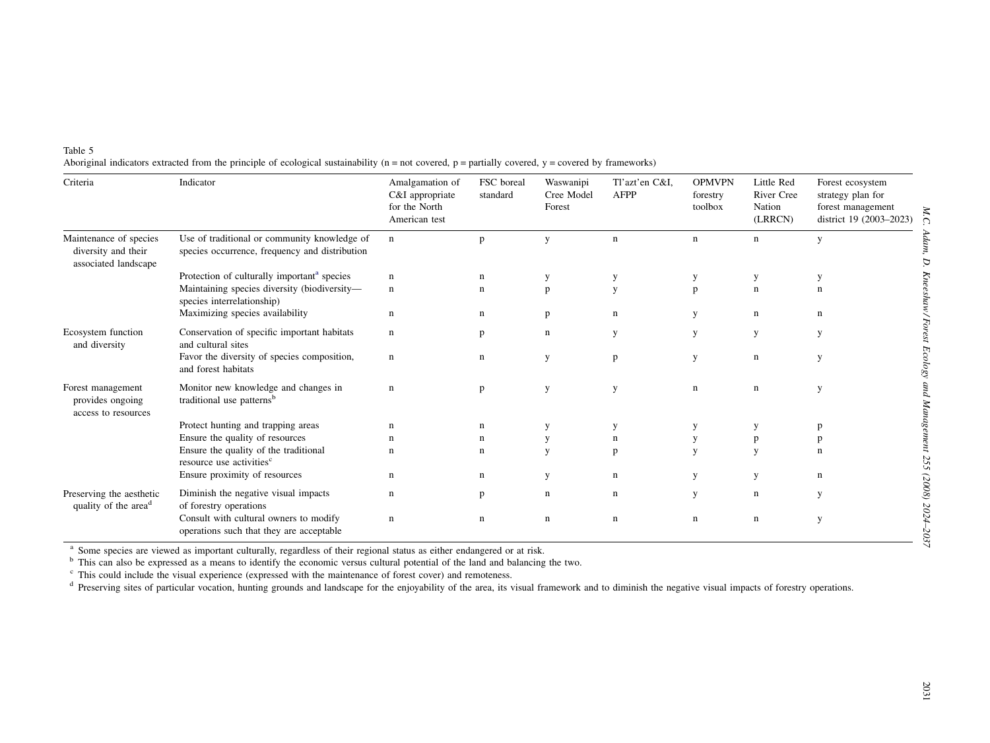<span id="page-7-0"></span>

| Table 5                                                                                                                                                     |
|-------------------------------------------------------------------------------------------------------------------------------------------------------------|
| Aboriginal indicators extracted from the principle of ecological sustainability ( $n = not covered$ , $p =$ partially covered, $y =$ covered by frameworks) |

| Criteria                                                              | Indicator                                                                                      | Amalgamation of<br>C&I appropriate<br>for the North<br>American test | FSC boreal<br>standard | Waswanipi<br>Cree Model<br>Forest | Tl'azt'en C&I,<br><b>AFPP</b> | <b>OPMVPN</b><br>forestry<br>toolbox | Little Red<br>River Cree<br>Nation<br>(LRRCN) | Forest ecosystem<br>strategy plan for<br>forest management<br>district 19 (2003-2023) |
|-----------------------------------------------------------------------|------------------------------------------------------------------------------------------------|----------------------------------------------------------------------|------------------------|-----------------------------------|-------------------------------|--------------------------------------|-----------------------------------------------|---------------------------------------------------------------------------------------|
| Maintenance of species<br>diversity and their<br>associated landscape | Use of traditional or community knowledge of<br>species occurrence, frequency and distribution | $\mathbf n$                                                          | p                      |                                   | $\mathbf n$                   | n                                    | n                                             | y                                                                                     |
|                                                                       | Protection of culturally important <sup>a</sup> species                                        | n                                                                    | n                      |                                   |                               |                                      |                                               |                                                                                       |
|                                                                       | Maintaining species diversity (biodiversity-<br>species interrelationship)                     | $\mathbf n$                                                          | n                      | p                                 | y                             | p                                    | $\mathbf n$                                   | n                                                                                     |
|                                                                       | Maximizing species availability                                                                | n                                                                    | n                      | p                                 | n                             |                                      | n                                             | n                                                                                     |
| Ecosystem function<br>and diversity                                   | Conservation of specific important habitats<br>and cultural sites                              | $\mathbf n$                                                          | p                      | $\mathbf n$                       | y                             | y                                    | y                                             | y                                                                                     |
|                                                                       | Favor the diversity of species composition,<br>and forest habitats                             | $\mathbf n$                                                          | n                      | y                                 | p                             |                                      | n                                             | y                                                                                     |
| Forest management<br>provides ongoing<br>access to resources          | Monitor new knowledge and changes in<br>traditional use patterns <sup>b</sup>                  | $\mathbf n$                                                          | p                      | V                                 | V                             | n                                    | n                                             | y                                                                                     |
|                                                                       | Protect hunting and trapping areas                                                             | n                                                                    | n                      | у                                 | y                             |                                      |                                               | p                                                                                     |
|                                                                       | Ensure the quality of resources                                                                |                                                                      | n                      |                                   | $\mathbf n$                   |                                      | p                                             |                                                                                       |
|                                                                       | Ensure the quality of the traditional<br>resource use activities <sup>c</sup>                  |                                                                      | n                      | $\overline{\mathbf{V}}$           | D                             |                                      |                                               | n                                                                                     |
|                                                                       | Ensure proximity of resources                                                                  | $\mathbf n$                                                          | n                      | y                                 | $\mathbf n$                   |                                      |                                               | $\mathbf n$                                                                           |
| Preserving the aesthetic<br>quality of the area <sup>d</sup>          | Diminish the negative visual impacts<br>of forestry operations                                 | n                                                                    | p                      | n                                 | n                             |                                      | n                                             | y                                                                                     |
|                                                                       | Consult with cultural owners to modify<br>operations such that they are acceptable             | $\mathbf n$                                                          | n                      | n                                 | n                             | n                                    | n                                             | y                                                                                     |

a Some species are viewed as important culturally, regardless of their regional status as either endangered or at risk.<br>
<sup>h</sup> This can also be expressed as a means to identify the economic versus cultural potential of the l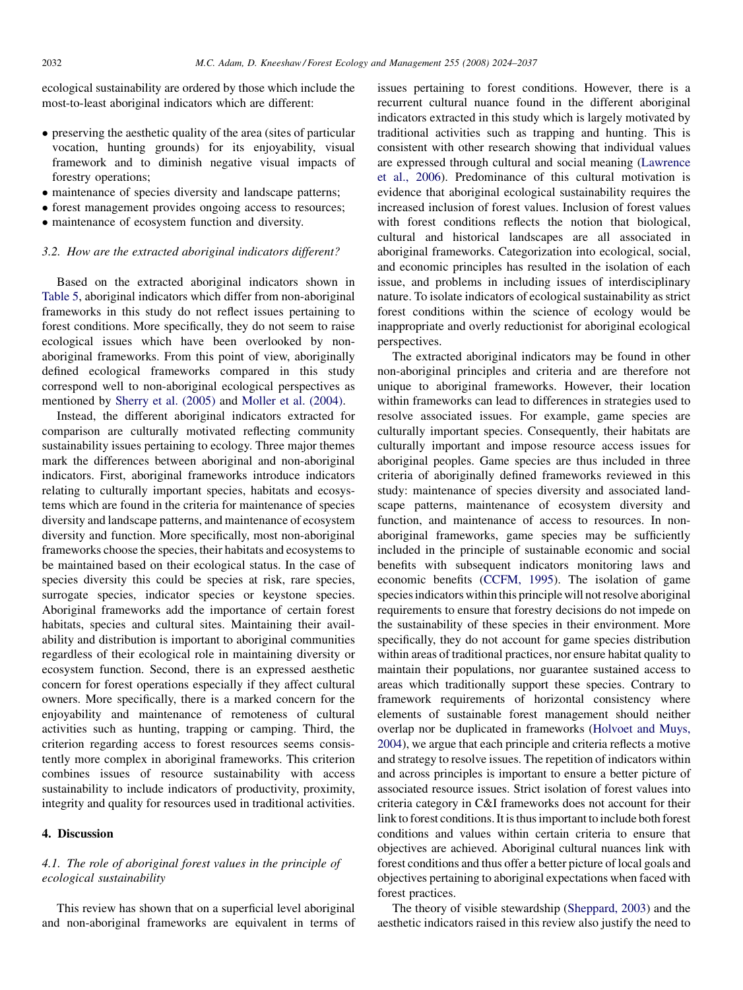ecological sustainability are ordered by those which include the most-to-least aboriginal indicators which are different:

- preserving the aesthetic quality of the area (sites of particular vocation, hunting grounds) for its enjoyability, visual framework and to diminish negative visual impacts of forestry operations;
- maintenance of species diversity and landscape patterns;
- forest management provides ongoing access to resources;
- maintenance of ecosystem function and diversity.

## 3.2. How are the extracted aboriginal indicators different?

Based on the extracted aboriginal indicators shown in [Table 5](#page-7-0), aboriginal indicators which differ from non-aboriginal frameworks in this study do not reflect issues pertaining to forest conditions. More specifically, they do not seem to raise ecological issues which have been overlooked by nonaboriginal frameworks. From this point of view, aboriginally defined ecological frameworks compared in this study correspond well to non-aboriginal ecological perspectives as mentioned by [Sherry et al. \(2005\)](#page-13-0) and [Moller et al. \(2004\).](#page-12-0)

Instead, the different aboriginal indicators extracted for comparison are culturally motivated reflecting community sustainability issues pertaining to ecology. Three major themes mark the differences between aboriginal and non-aboriginal indicators. First, aboriginal frameworks introduce indicators relating to culturally important species, habitats and ecosystems which are found in the criteria for maintenance of species diversity and landscape patterns, and maintenance of ecosystem diversity and function. More specifically, most non-aboriginal frameworks choose the species, their habitats and ecosystems to be maintained based on their ecological status. In the case of species diversity this could be species at risk, rare species, surrogate species, indicator species or keystone species. Aboriginal frameworks add the importance of certain forest habitats, species and cultural sites. Maintaining their availability and distribution is important to aboriginal communities regardless of their ecological role in maintaining diversity or ecosystem function. Second, there is an expressed aesthetic concern for forest operations especially if they affect cultural owners. More specifically, there is a marked concern for the enjoyability and maintenance of remoteness of cultural activities such as hunting, trapping or camping. Third, the criterion regarding access to forest resources seems consistently more complex in aboriginal frameworks. This criterion combines issues of resource sustainability with access sustainability to include indicators of productivity, proximity, integrity and quality for resources used in traditional activities.

### 4. Discussion

# 4.1. The role of aboriginal forest values in the principle of ecological sustainability

This review has shown that on a superficial level aboriginal and non-aboriginal frameworks are equivalent in terms of issues pertaining to forest conditions. However, there is a recurrent cultural nuance found in the different aboriginal indicators extracted in this study which is largely motivated by traditional activities such as trapping and hunting. This is consistent with other research showing that individual values are expressed through cultural and social meaning [\(Lawrence](#page-12-0) [et al., 2006\)](#page-12-0). Predominance of this cultural motivation is evidence that aboriginal ecological sustainability requires the increased inclusion of forest values. Inclusion of forest values with forest conditions reflects the notion that biological, cultural and historical landscapes are all associated in aboriginal frameworks. Categorization into ecological, social, and economic principles has resulted in the isolation of each issue, and problems in including issues of interdisciplinary nature. To isolate indicators of ecological sustainability as strict forest conditions within the science of ecology would be inappropriate and overly reductionist for aboriginal ecological perspectives.

The extracted aboriginal indicators may be found in other non-aboriginal principles and criteria and are therefore not unique to aboriginal frameworks. However, their location within frameworks can lead to differences in strategies used to resolve associated issues. For example, game species are culturally important species. Consequently, their habitats are culturally important and impose resource access issues for aboriginal peoples. Game species are thus included in three criteria of aboriginally defined frameworks reviewed in this study: maintenance of species diversity and associated landscape patterns, maintenance of ecosystem diversity and function, and maintenance of access to resources. In nonaboriginal frameworks, game species may be sufficiently included in the principle of sustainable economic and social benefits with subsequent indicators monitoring laws and economic benefits ([CCFM, 1995](#page-12-0)). The isolation of game species indicators within this principle will not resolve aboriginal requirements to ensure that forestry decisions do not impede on the sustainability of these species in their environment. More specifically, they do not account for game species distribution within areas of traditional practices, nor ensure habitat quality to maintain their populations, nor guarantee sustained access to areas which traditionally support these species. Contrary to framework requirements of horizontal consistency where elements of sustainable forest management should neither overlap nor be duplicated in frameworks ([Holvoet and Muys,](#page-12-0) [2004](#page-12-0)), we argue that each principle and criteria reflects a motive and strategy to resolve issues. The repetition of indicators within and across principles is important to ensure a better picture of associated resource issues. Strict isolation of forest values into criteria category in C&I frameworks does not account for their link to forest conditions. It is thus important to include both forest conditions and values within certain criteria to ensure that objectives are achieved. Aboriginal cultural nuances link with forest conditions and thus offer a better picture of local goals and objectives pertaining to aboriginal expectations when faced with forest practices.

The theory of visible stewardship [\(Sheppard, 2003](#page-13-0)) and the aesthetic indicators raised in this review also justify the need to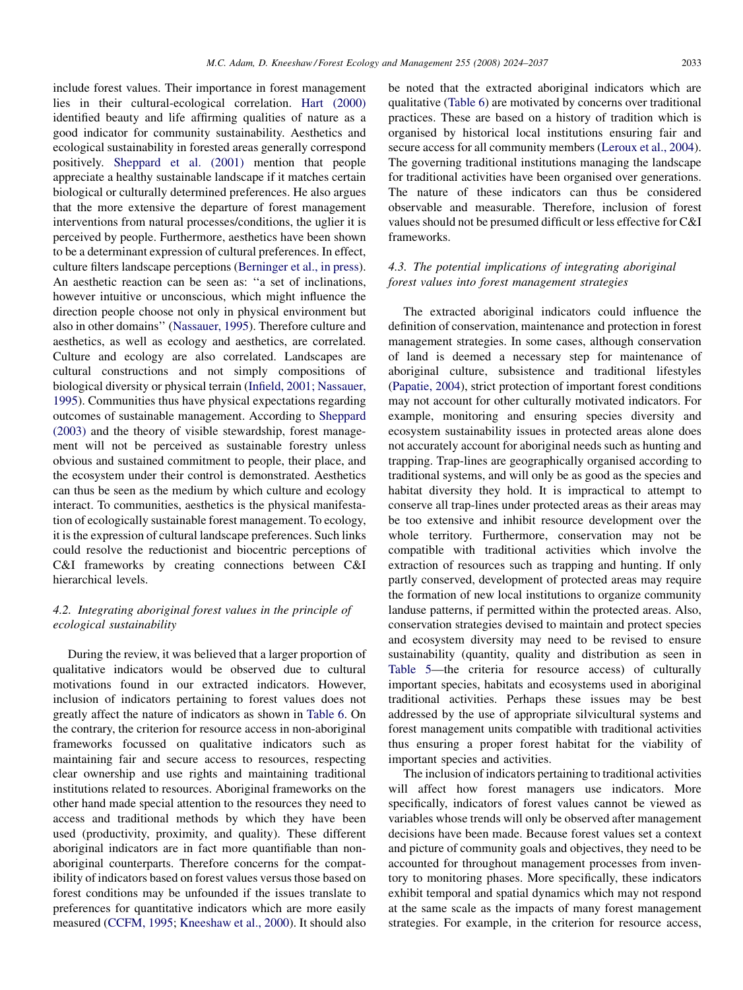include forest values. Their importance in forest management lies in their cultural-ecological correlation. [Hart \(2000\)](#page-12-0) identified beauty and life affirming qualities of nature as a good indicator for community sustainability. Aesthetics and ecological sustainability in forested areas generally correspond positively. [Sheppard et al. \(2001\)](#page-13-0) mention that people appreciate a healthy sustainable landscape if it matches certain biological or culturally determined preferences. He also argues that the more extensive the departure of forest management interventions from natural processes/conditions, the uglier it is perceived by people. Furthermore, aesthetics have been shown to be a determinant expression of cultural preferences. In effect, culture filters landscape perceptions [\(Berninger et al., in press\)](#page-11-0). An aesthetic reaction can be seen as: ''a set of inclinations, however intuitive or unconscious, which might influence the direction people choose not only in physical environment but also in other domains'' ([Nassauer, 1995\)](#page-12-0). Therefore culture and aesthetics, as well as ecology and aesthetics, are correlated. Culture and ecology are also correlated. Landscapes are cultural constructions and not simply compositions of biological diversity or physical terrain [\(Infield, 2001; Nassauer,](#page-12-0) [1995](#page-12-0)). Communities thus have physical expectations regarding outcomes of sustainable management. According to [Sheppard](#page-13-0) [\(2003\)](#page-13-0) and the theory of visible stewardship, forest management will not be perceived as sustainable forestry unless obvious and sustained commitment to people, their place, and the ecosystem under their control is demonstrated. Aesthetics can thus be seen as the medium by which culture and ecology interact. To communities, aesthetics is the physical manifestation of ecologically sustainable forest management. To ecology, it is the expression of cultural landscape preferences. Such links could resolve the reductionist and biocentric perceptions of C&I frameworks by creating connections between C&I hierarchical levels.

## 4.2. Integrating aboriginal forest values in the principle of ecological sustainability

During the review, it was believed that a larger proportion of qualitative indicators would be observed due to cultural motivations found in our extracted indicators. However, inclusion of indicators pertaining to forest values does not greatly affect the nature of indicators as shown in [Table 6](#page-10-0). On the contrary, the criterion for resource access in non-aboriginal frameworks focussed on qualitative indicators such as maintaining fair and secure access to resources, respecting clear ownership and use rights and maintaining traditional institutions related to resources. Aboriginal frameworks on the other hand made special attention to the resources they need to access and traditional methods by which they have been used (productivity, proximity, and quality). These different aboriginal indicators are in fact more quantifiable than nonaboriginal counterparts. Therefore concerns for the compatibility of indicators based on forest values versus those based on forest conditions may be unfounded if the issues translate to preferences for quantitative indicators which are more easily measured ([CCFM, 1995;](#page-12-0) [Kneeshaw et al., 2000\)](#page-12-0). It should also

be noted that the extracted aboriginal indicators which are qualitative [\(Table 6\)](#page-10-0) are motivated by concerns over traditional practices. These are based on a history of tradition which is organised by historical local institutions ensuring fair and secure access for all community members [\(Leroux et al., 2004\)](#page-12-0). The governing traditional institutions managing the landscape for traditional activities have been organised over generations. The nature of these indicators can thus be considered observable and measurable. Therefore, inclusion of forest values should not be presumed difficult or less effective for C&I frameworks.

# 4.3. The potential implications of integrating aboriginal forest values into forest management strategies

The extracted aboriginal indicators could influence the definition of conservation, maintenance and protection in forest management strategies. In some cases, although conservation of land is deemed a necessary step for maintenance of aboriginal culture, subsistence and traditional lifestyles ([Papatie, 2004](#page-13-0)), strict protection of important forest conditions may not account for other culturally motivated indicators. For example, monitoring and ensuring species diversity and ecosystem sustainability issues in protected areas alone does not accurately account for aboriginal needs such as hunting and trapping. Trap-lines are geographically organised according to traditional systems, and will only be as good as the species and habitat diversity they hold. It is impractical to attempt to conserve all trap-lines under protected areas as their areas may be too extensive and inhibit resource development over the whole territory. Furthermore, conservation may not be compatible with traditional activities which involve the extraction of resources such as trapping and hunting. If only partly conserved, development of protected areas may require the formation of new local institutions to organize community landuse patterns, if permitted within the protected areas. Also, conservation strategies devised to maintain and protect species and ecosystem diversity may need to be revised to ensure sustainability (quantity, quality and distribution as seen in [Table 5](#page-7-0)—the criteria for resource access) of culturally important species, habitats and ecosystems used in aboriginal traditional activities. Perhaps these issues may be best addressed by the use of appropriate silvicultural systems and forest management units compatible with traditional activities thus ensuring a proper forest habitat for the viability of important species and activities.

The inclusion of indicators pertaining to traditional activities will affect how forest managers use indicators. More specifically, indicators of forest values cannot be viewed as variables whose trends will only be observed after management decisions have been made. Because forest values set a context and picture of community goals and objectives, they need to be accounted for throughout management processes from inventory to monitoring phases. More specifically, these indicators exhibit temporal and spatial dynamics which may not respond at the same scale as the impacts of many forest management strategies. For example, in the criterion for resource access,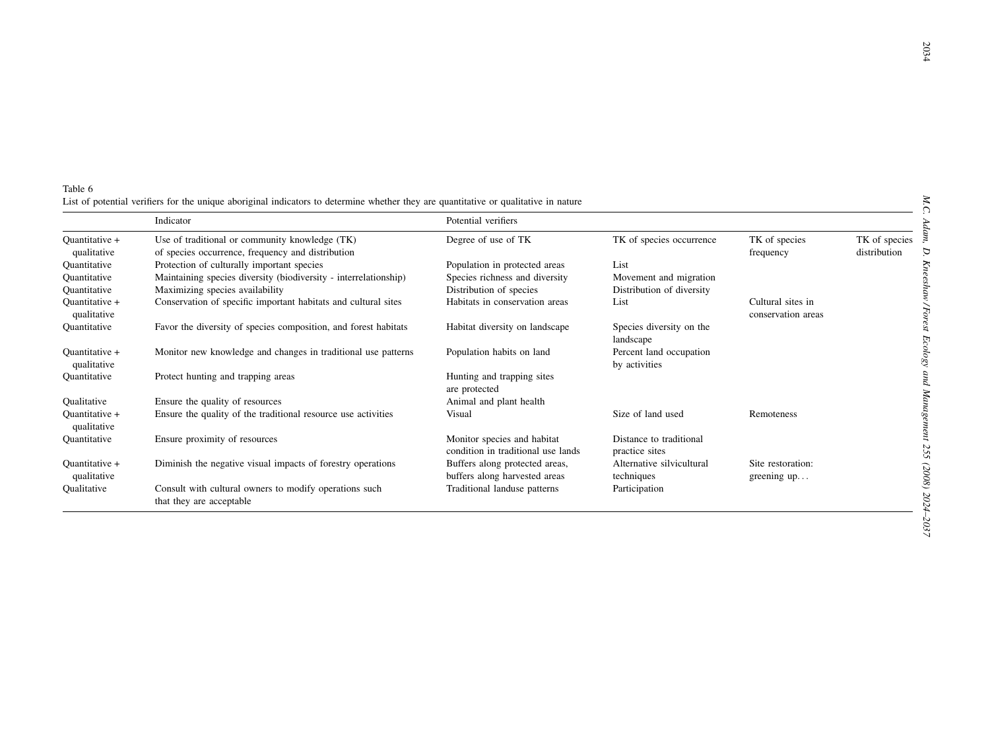<span id="page-10-0"></span>

| Table 6 |  |  |                                                                                                                                      |
|---------|--|--|--------------------------------------------------------------------------------------------------------------------------------------|
|         |  |  | List of potential verifiers for the unique aboriginal indicators to determine whether they are quantitative or qualitative in nature |

|                                 | Indicator                                                                                           | Potential verifiers                                               |                                           |                                         |                               |
|---------------------------------|-----------------------------------------------------------------------------------------------------|-------------------------------------------------------------------|-------------------------------------------|-----------------------------------------|-------------------------------|
| Quantitative $+$<br>qualitative | Use of traditional or community knowledge (TK)<br>of species occurrence, frequency and distribution | Degree of use of TK                                               | TK of species occurrence                  | TK of species<br>frequency              | TK of species<br>distribution |
| Quantitative                    | Protection of culturally important species                                                          | Population in protected areas                                     | List                                      |                                         |                               |
| Quantitative                    | Maintaining species diversity (biodiversity - interrelationship)                                    | Species richness and diversity                                    | Movement and migration                    |                                         |                               |
| Quantitative                    | Maximizing species availability                                                                     | Distribution of species                                           | Distribution of diversity                 |                                         |                               |
| Quantitative +<br>qualitative   | Conservation of specific important habitats and cultural sites                                      | Habitats in conservation areas                                    | List                                      | Cultural sites in<br>conservation areas |                               |
| Quantitative                    | Favor the diversity of species composition, and forest habitats                                     | Habitat diversity on landscape                                    | Species diversity on the<br>landscape     |                                         |                               |
| Quantitative $+$<br>qualitative | Monitor new knowledge and changes in traditional use patterns                                       | Population habits on land                                         | Percent land occupation<br>by activities  |                                         |                               |
| Quantitative                    | Protect hunting and trapping areas                                                                  | Hunting and trapping sites<br>are protected                       |                                           |                                         |                               |
| Qualitative                     | Ensure the quality of resources                                                                     | Animal and plant health                                           |                                           |                                         |                               |
| Quantitative +<br>qualitative   | Ensure the quality of the traditional resource use activities                                       | Visual                                                            | Size of land used                         | Remoteness                              |                               |
| Quantitative                    | Ensure proximity of resources                                                                       | Monitor species and habitat<br>condition in traditional use lands | Distance to traditional<br>practice sites |                                         |                               |
| Quantitative +<br>qualitative   | Diminish the negative visual impacts of forestry operations                                         | Buffers along protected areas,<br>buffers along harvested areas   | Alternative silvicultural<br>techniques   | Site restoration:<br>greening $up$      |                               |
| Qualitative                     | Consult with cultural owners to modify operations such<br>that they are acceptable                  | Traditional landuse patterns                                      | Participation                             |                                         |                               |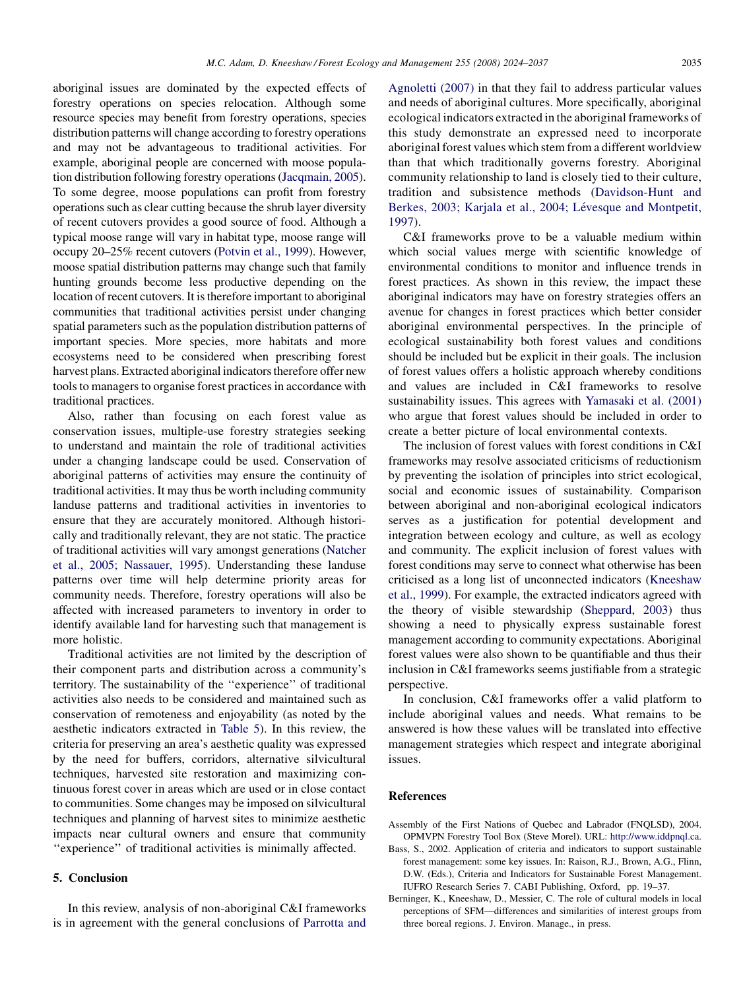<span id="page-11-0"></span>aboriginal issues are dominated by the expected effects of forestry operations on species relocation. Although some resource species may benefit from forestry operations, species distribution patterns will change according to forestry operations and may not be advantageous to traditional activities. For example, aboriginal people are concerned with moose population distribution following forestry operations [\(Jacqmain, 2005\)](#page-12-0). To some degree, moose populations can profit from forestry operations such as clear cutting because the shrub layer diversity of recent cutovers provides a good source of food. Although a typical moose range will vary in habitat type, moose range will occupy 20–25% recent cutovers [\(Potvin et al., 1999](#page-13-0)). However, moose spatial distribution patterns may change such that family hunting grounds become less productive depending on the location of recent cutovers. It is therefore important to aboriginal communities that traditional activities persist under changing spatial parameters such as the population distribution patterns of important species. More species, more habitats and more ecosystems need to be considered when prescribing forest harvest plans. Extracted aboriginal indicators therefore offer new tools to managers to organise forest practices in accordance with traditional practices.

Also, rather than focusing on each forest value as conservation issues, multiple-use forestry strategies seeking to understand and maintain the role of traditional activities under a changing landscape could be used. Conservation of aboriginal patterns of activities may ensure the continuity of traditional activities. It may thus be worth including community landuse patterns and traditional activities in inventories to ensure that they are accurately monitored. Although historically and traditionally relevant, they are not static. The practice of traditional activities will vary amongst generations ([Natcher](#page-12-0) [et al., 2005; Nassauer, 1995](#page-12-0)). Understanding these landuse patterns over time will help determine priority areas for community needs. Therefore, forestry operations will also be affected with increased parameters to inventory in order to identify available land for harvesting such that management is more holistic.

Traditional activities are not limited by the description of their component parts and distribution across a community's territory. The sustainability of the ''experience'' of traditional activities also needs to be considered and maintained such as conservation of remoteness and enjoyability (as noted by the aesthetic indicators extracted in [Table 5](#page-7-0)). In this review, the criteria for preserving an area's aesthetic quality was expressed by the need for buffers, corridors, alternative silvicultural techniques, harvested site restoration and maximizing continuous forest cover in areas which are used or in close contact to communities. Some changes may be imposed on silvicultural techniques and planning of harvest sites to minimize aesthetic impacts near cultural owners and ensure that community "experience" of traditional activities is minimally affected.

#### 5. Conclusion

In this review, analysis of non-aboriginal C&I frameworks is in agreement with the general conclusions of [Parrotta and](#page-13-0) [Agnoletti \(2007\)](#page-13-0) in that they fail to address particular values and needs of aboriginal cultures. More specifically, aboriginal ecological indicators extracted in the aboriginal frameworks of this study demonstrate an expressed need to incorporate aboriginal forest values which stem from a different worldview than that which traditionally governs forestry. Aboriginal community relationship to land is closely tied to their culture, tradition and subsistence methods [\(Davidson-Hunt and](#page-12-0) Berkes, 2003; Karjala et al., 2004; Lévesque and Montpetit, [1997\)](#page-12-0).

C&I frameworks prove to be a valuable medium within which social values merge with scientific knowledge of environmental conditions to monitor and influence trends in forest practices. As shown in this review, the impact these aboriginal indicators may have on forestry strategies offers an avenue for changes in forest practices which better consider aboriginal environmental perspectives. In the principle of ecological sustainability both forest values and conditions should be included but be explicit in their goals. The inclusion of forest values offers a holistic approach whereby conditions and values are included in C&I frameworks to resolve sustainability issues. This agrees with [Yamasaki et al. \(2001\)](#page-13-0) who argue that forest values should be included in order to create a better picture of local environmental contexts.

The inclusion of forest values with forest conditions in C&I frameworks may resolve associated criticisms of reductionism by preventing the isolation of principles into strict ecological, social and economic issues of sustainability. Comparison between aboriginal and non-aboriginal ecological indicators serves as a justification for potential development and integration between ecology and culture, as well as ecology and community. The explicit inclusion of forest values with forest conditions may serve to connect what otherwise has been criticised as a long list of unconnected indicators [\(Kneeshaw](#page-12-0) [et al., 1999](#page-12-0)). For example, the extracted indicators agreed with the theory of visible stewardship ([Sheppard, 2003\)](#page-13-0) thus showing a need to physically express sustainable forest management according to community expectations. Aboriginal forest values were also shown to be quantifiable and thus their inclusion in C&I frameworks seems justifiable from a strategic perspective.

In conclusion, C&I frameworks offer a valid platform to include aboriginal values and needs. What remains to be answered is how these values will be translated into effective management strategies which respect and integrate aboriginal issues.

#### References

- Assembly of the First Nations of Quebec and Labrador (FNQLSD), 2004. OPMVPN Forestry Tool Box (Steve Morel). URL: [http://www.iddpnql.ca.](http://www.iddpnql.ca/)
- Bass, S., 2002. Application of criteria and indicators to support sustainable forest management: some key issues. In: Raison, R.J., Brown, A.G., Flinn, D.W. (Eds.), Criteria and Indicators for Sustainable Forest Management. IUFRO Research Series 7. CABI Publishing, Oxford, pp. 19–37.
- Berninger, K., Kneeshaw, D., Messier, C. The role of cultural models in local perceptions of SFM—differences and similarities of interest groups from three boreal regions. J. Environ. Manage., in press.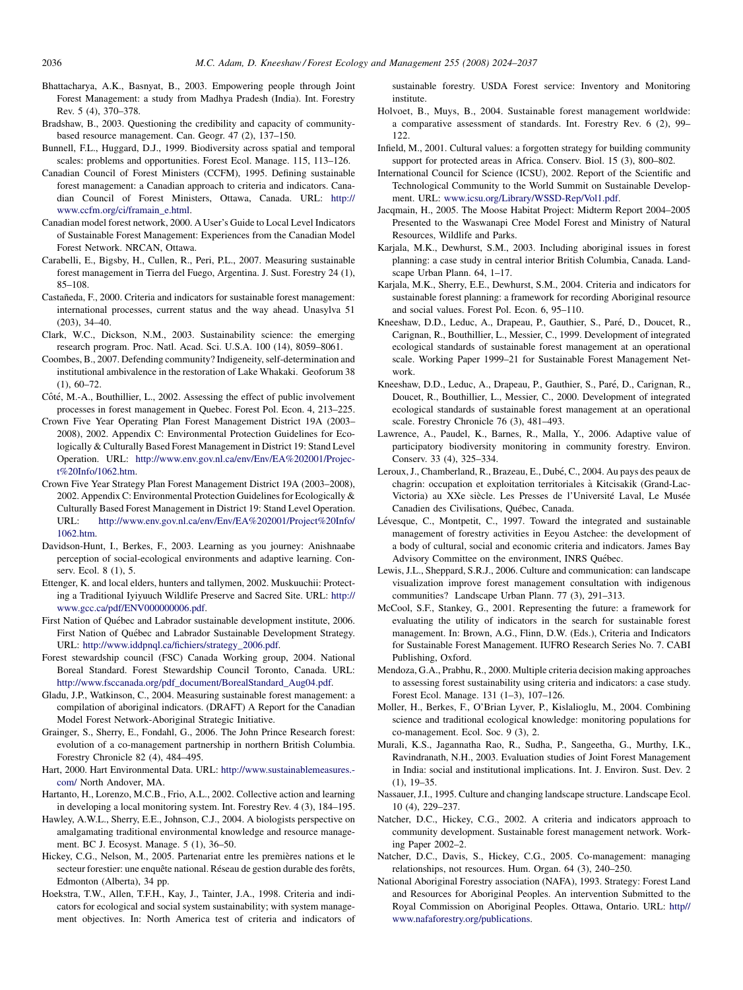- <span id="page-12-0"></span>Bhattacharya, A.K., Basnyat, B., 2003. Empowering people through Joint Forest Management: a study from Madhya Pradesh (India). Int. Forestry Rev. 5 (4), 370–378.
- Bradshaw, B., 2003. Questioning the credibility and capacity of communitybased resource management. Can. Geogr. 47 (2), 137–150.
- Bunnell, F.L., Huggard, D.J., 1999. Biodiversity across spatial and temporal scales: problems and opportunities. Forest Ecol. Manage. 115, 113–126.
- Canadian Council of Forest Ministers (CCFM), 1995. Defining sustainable forest management: a Canadian approach to criteria and indicators. Canadian Council of Forest Ministers, Ottawa, Canada. URL: [http://](http://www.ccfm.org/ci/framain_e.html) [www.ccfm.org/ci/framain\\_e.html](http://www.ccfm.org/ci/framain_e.html).
- Canadian model forest network, 2000. A User's Guide to Local Level Indicators of Sustainable Forest Management: Experiences from the Canadian Model Forest Network. NRCAN, Ottawa.
- Carabelli, E., Bigsby, H., Cullen, R., Peri, P.L., 2007. Measuring sustainable forest management in Tierra del Fuego, Argentina. J. Sust. Forestry 24 (1), 85–108.
- Castañeda, F., 2000. Criteria and indicators for sustainable forest management: international processes, current status and the way ahead. Unasylva 51 (203), 34–40.
- Clark, W.C., Dickson, N.M., 2003. Sustainability science: the emerging research program. Proc. Natl. Acad. Sci. U.S.A. 100 (14), 8059–8061.
- Coombes, B., 2007. Defending community? Indigeneity, self-determination and institutional ambivalence in the restoration of Lake Whakaki. Geoforum 38 (1), 60–72.
- Côté, M.-A., Bouthillier, L., 2002. Assessing the effect of public involvement processes in forest management in Quebec. Forest Pol. Econ. 4, 213–225.
- Crown Five Year Operating Plan Forest Management District 19A (2003– 2008), 2002. Appendix C: Environmental Protection Guidelines for Ecologically & Culturally Based Forest Management in District 19: Stand Level Operation. URL: [http://www.env.gov.nl.ca/env/Env/EA%202001/Projec](http://www.env.gov.nl.ca/env/Env/EA%25202001/Project%2520Info/1062.htm)[t%20Info/1062.htm](http://www.env.gov.nl.ca/env/Env/EA%25202001/Project%2520Info/1062.htm).
- Crown Five Year Strategy Plan Forest Management District 19A (2003–2008), 2002. Appendix C: Environmental Protection Guidelines for Ecologically & Culturally Based Forest Management in District 19: Stand Level Operation. URL: [http://www.env.gov.nl.ca/env/Env/EA%202001/Project%20Info/](http://www.env.gov.nl.ca/env/Env/EA%25202001/Project%2520Info/1062.htm) [1062.htm.](http://www.env.gov.nl.ca/env/Env/EA%25202001/Project%2520Info/1062.htm)
- Davidson-Hunt, I., Berkes, F., 2003. Learning as you journey: Anishnaabe perception of social-ecological environments and adaptive learning. Conserv. Ecol. 8 (1), 5.
- Ettenger, K. and local elders, hunters and tallymen, 2002. Muskuuchii: Protecting a Traditional Iyiyuuch Wildlife Preserve and Sacred Site. URL: [http://](http://www.gcc.ca/pdf/ENV000000006.pdf) [www.gcc.ca/pdf/ENV000000006.pdf](http://www.gcc.ca/pdf/ENV000000006.pdf).
- First Nation of Québec and Labrador sustainable development institute, 2006. First Nation of Québec and Labrador Sustainable Development Strategy. URL: [http://www.iddpnql.ca/fichiers/strategy\\_2006.pdf](http://www.iddpnql.ca/fichiers/strategy_2006.pdf).
- Forest stewardship council (FSC) Canada Working group, 2004. National Boreal Standard. Forest Stewardship Council Toronto, Canada. URL: [http://www.fsccanada.org/pdf\\_document/BorealStandard\\_Aug04.pdf.](http://www.fsccanada.org/pdf_document/BorealStandard_Aug04.pdf)
- Gladu, J.P., Watkinson, C., 2004. Measuring sustainable forest management: a compilation of aboriginal indicators. (DRAFT) A Report for the Canadian Model Forest Network-Aboriginal Strategic Initiative.
- Grainger, S., Sherry, E., Fondahl, G., 2006. The John Prince Research forest: evolution of a co-management partnership in northern British Columbia. Forestry Chronicle 82 (4), 484–495.
- Hart, 2000. Hart Environmental Data. URL: [http://www.sustainablemeasures.](http://www.sustainablemeasures.com/) [com/](http://www.sustainablemeasures.com/) North Andover, MA.
- Hartanto, H., Lorenzo, M.C.B., Frio, A.L., 2002. Collective action and learning in developing a local monitoring system. Int. Forestry Rev. 4 (3), 184–195.
- Hawley, A.W.L., Sherry, E.E., Johnson, C.J., 2004. A biologists perspective on amalgamating traditional environmental knowledge and resource management. BC J. Ecosyst. Manage. 5 (1), 36–50.
- Hickey, C.G., Nelson, M., 2005. Partenariat entre les premières nations et le secteur forestier: une enquête national. Réseau de gestion durable des forêts, Edmonton (Alberta), 34 pp.
- Hoekstra, T.W., Allen, T.F.H., Kay, J., Tainter, J.A., 1998. Criteria and indicators for ecological and social system sustainability; with system management objectives. In: North America test of criteria and indicators of

sustainable forestry. USDA Forest service: Inventory and Monitoring institute.

- Holvoet, B., Muys, B., 2004. Sustainable forest management worldwide: a comparative assessment of standards. Int. Forestry Rev. 6 (2), 99– 122.
- Infield, M., 2001. Cultural values: a forgotten strategy for building community support for protected areas in Africa. Conserv. Biol. 15 (3), 800–802.
- International Council for Science (ICSU), 2002. Report of the Scientific and Technological Community to the World Summit on Sustainable Development. URL: [www.icsu.org/Library/WSSD-Rep/Vol1.pdf.](http://www.icsu.org/Library/WSSD-Rep/Vol1.pdf)
- Jacqmain, H., 2005. The Moose Habitat Project: Midterm Report 2004–2005 Presented to the Waswanapi Cree Model Forest and Ministry of Natural Resources, Wildlife and Parks.
- Karjala, M.K., Dewhurst, S.M., 2003. Including aboriginal issues in forest planning: a case study in central interior British Columbia, Canada. Landscape Urban Plann. 64, 1–17.
- Karjala, M.K., Sherry, E.E., Dewhurst, S.M., 2004. Criteria and indicators for sustainable forest planning: a framework for recording Aboriginal resource and social values. Forest Pol. Econ. 6, 95–110.
- Kneeshaw, D.D., Leduc, A., Drapeau, P., Gauthier, S., Paré, D., Doucet, R., Carignan, R., Bouthillier, L., Messier, C., 1999. Development of integrated ecological standards of sustainable forest management at an operational scale. Working Paper 1999–21 for Sustainable Forest Management Network.
- Kneeshaw, D.D., Leduc, A., Drapeau, P., Gauthier, S., Paré, D., Carignan, R., Doucet, R., Bouthillier, L., Messier, C., 2000. Development of integrated ecological standards of sustainable forest management at an operational scale. Forestry Chronicle 76 (3), 481–493.
- Lawrence, A., Paudel, K., Barnes, R., Malla, Y., 2006. Adaptive value of participatory biodiversity monitoring in community forestry. Environ. Conserv. 33 (4), 325–334.
- Leroux, J., Chamberland, R., Brazeau, E., Dubé, C., 2004. Au pays des peaux de chagrin: occupation et exploitation territoriales à Kitcisakik (Grand-Lac-Victoria) au XXe siècle. Les Presses de l'Université Laval, Le Musée Canadien des Civilisations, Québec, Canada.
- Lévesque, C., Montpetit, C., 1997. Toward the integrated and sustainable management of forestry activities in Eeyou Astchee: the development of a body of cultural, social and economic criteria and indicators. James Bay Advisory Committee on the environment, INRS Ouébec.
- Lewis, J.L., Sheppard, S.R.J., 2006. Culture and communication: can landscape visualization improve forest management consultation with indigenous communities? Landscape Urban Plann. 77 (3), 291–313.
- McCool, S.F., Stankey, G., 2001. Representing the future: a framework for evaluating the utility of indicators in the search for sustainable forest management. In: Brown, A.G., Flinn, D.W. (Eds.), Criteria and Indicators for Sustainable Forest Management. IUFRO Research Series No. 7. CABI Publishing, Oxford.
- Mendoza, G.A., Prabhu, R., 2000. Multiple criteria decision making approaches to assessing forest sustainability using criteria and indicators: a case study. Forest Ecol. Manage. 131 (1–3), 107–126.
- Moller, H., Berkes, F., O'Brian Lyver, P., Kislalioglu, M., 2004. Combining science and traditional ecological knowledge: monitoring populations for co-management. Ecol. Soc. 9 (3), 2.
- Murali, K.S., Jagannatha Rao, R., Sudha, P., Sangeetha, G., Murthy, I.K., Ravindranath, N.H., 2003. Evaluation studies of Joint Forest Management in India: social and institutional implications. Int. J. Environ. Sust. Dev. 2 (1), 19–35.
- Nassauer, J.I., 1995. Culture and changing landscape structure. Landscape Ecol. 10 (4), 229–237.
- Natcher, D.C., Hickey, C.G., 2002. A criteria and indicators approach to community development. Sustainable forest management network. Working Paper 2002–2.
- Natcher, D.C., Davis, S., Hickey, C.G., 2005. Co-management: managing relationships, not resources. Hum. Organ. 64 (3), 240–250.
- National Aboriginal Forestry association (NAFA), 1993. Strategy: Forest Land and Resources for Aboriginal Peoples. An intervention Submitted to the Royal Commission on Aboriginal Peoples. Ottawa, Ontario. URL: [http//](http//www.nafaforestry.org/publications) [www.nafaforestry.org/publications](http//www.nafaforestry.org/publications).